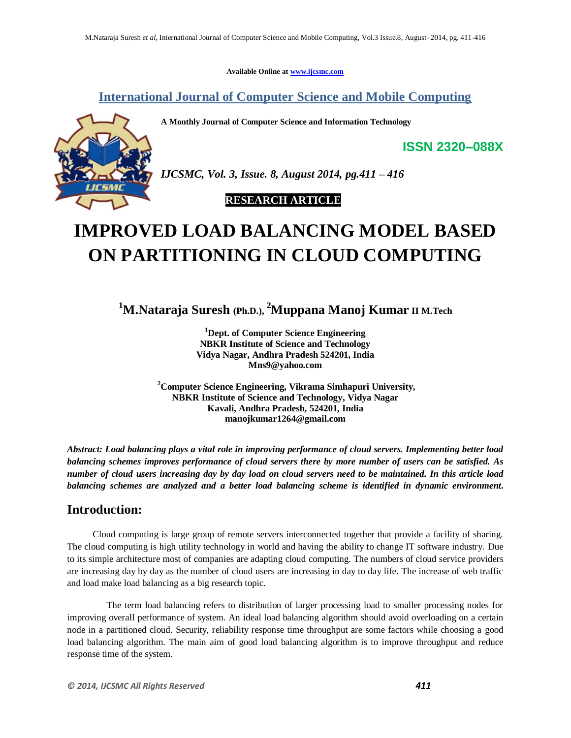**Available Online at www.ijcsmc.com**

**International Journal of Computer Science and Mobile Computing**

**A Monthly Journal of Computer Science and Information Technology**



*IJCSMC, Vol. 3, Issue. 8, August 2014, pg.411 – 416*

 **RESEARCH ARTICLE**

# **IMPROVED LOAD BALANCING MODEL BASED ON PARTITIONING IN CLOUD COMPUTING**

**<sup>1</sup>M.Nataraja Suresh (Ph.D.), <sup>2</sup>Muppana Manoj Kumar II M.Tech**

**<sup>1</sup>Dept. of Computer Science Engineering NBKR Institute of Science and Technology Vidya Nagar, Andhra Pradesh 524201, India Mns9@yahoo.com**

**<sup>2</sup>Computer Science Engineering, Vikrama Simhapuri University, NBKR Institute of Science and Technology, Vidya Nagar Kavali, Andhra Pradesh, 524201, India manojkumar1264@gmail.com**

*Abstract: Load balancing plays a vital role in improving performance of cloud servers. Implementing better load balancing schemes improves performance of cloud servers there by more number of users can be satisfied. As number of cloud users increasing day by day load on cloud servers need to be maintained. In this article load balancing schemes are analyzed and a better load balancing scheme is identified in dynamic environment.*

### **Introduction:**

 Cloud computing is large group of remote servers interconnected together that provide a facility of sharing. The cloud computing is high utility technology in world and having the ability to change IT software industry. Due to its simple architecture most of companies are adapting cloud computing. The numbers of cloud service providers are increasing day by day as the number of cloud users are increasing in day to day life. The increase of web traffic and load make load balancing as a big research topic.

 The term load balancing refers to distribution of larger processing load to smaller processing nodes for improving overall performance of system. An ideal load balancing algorithm should avoid overloading on a certain node in a partitioned cloud. Security, reliability response time throughput are some factors while choosing a good load balancing algorithm. The main aim of good load balancing algorithm is to improve throughput and reduce response time of the system.

**ISSN 2320–088X**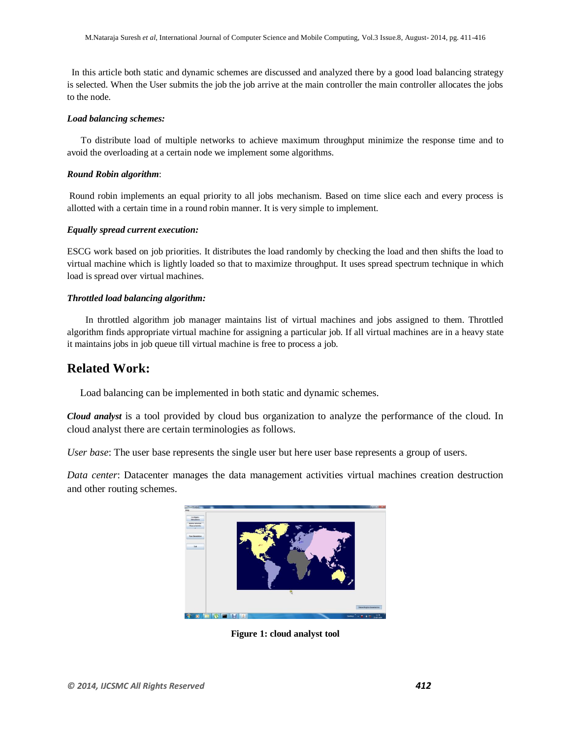In this article both static and dynamic schemes are discussed and analyzed there by a good load balancing strategy is selected. When the User submits the job the job arrive at the main controller the main controller allocates the jobs to the node.

### *Load balancing schemes:*

 To distribute load of multiple networks to achieve maximum throughput minimize the response time and to avoid the overloading at a certain node we implement some algorithms.

### *Round Robin algorithm*:

Round robin implements an equal priority to all jobs mechanism. Based on time slice each and every process is allotted with a certain time in a round robin manner. It is very simple to implement.

#### *Equally spread current execution:*

ESCG work based on job priorities. It distributes the load randomly by checking the load and then shifts the load to virtual machine which is lightly loaded so that to maximize throughput. It uses spread spectrum technique in which load is spread over virtual machines.

#### *Throttled load balancing algorithm:*

 In throttled algorithm job manager maintains list of virtual machines and jobs assigned to them. Throttled algorithm finds appropriate virtual machine for assigning a particular job. If all virtual machines are in a heavy state it maintains jobs in job queue till virtual machine is free to process a job.

### **Related Work:**

Load balancing can be implemented in both static and dynamic schemes.

*Cloud analyst* is a tool provided by cloud bus organization to analyze the performance of the cloud. In cloud analyst there are certain terminologies as follows.

*User base*: The user base represents the single user but here user base represents a group of users.

*Data center*: Datacenter manages the data management activities virtual machines creation destruction and other routing schemes.



**Figure 1: cloud analyst tool**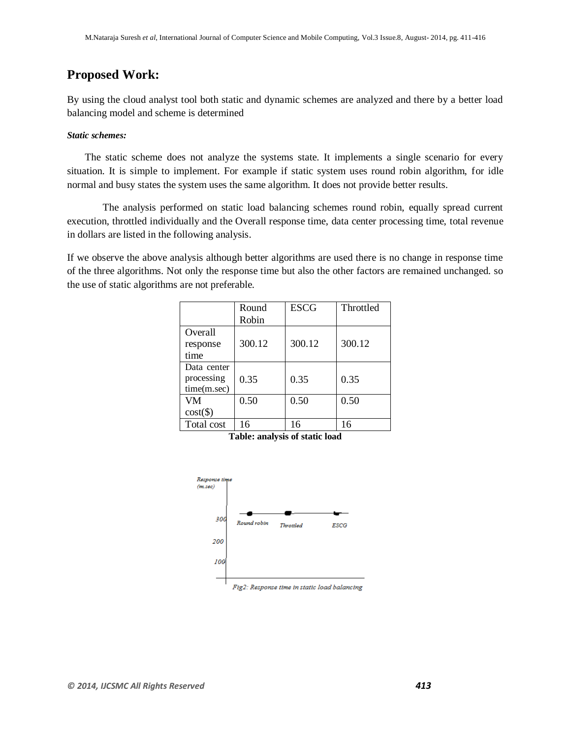# **Proposed Work:**

By using the cloud analyst tool both static and dynamic schemes are analyzed and there by a better load balancing model and scheme is determined

### *Static schemes:*

 The static scheme does not analyze the systems state. It implements a single scenario for every situation. It is simple to implement. For example if static system uses round robin algorithm, for idle normal and busy states the system uses the same algorithm. It does not provide better results.

 The analysis performed on static load balancing schemes round robin, equally spread current execution, throttled individually and the Overall response time, data center processing time, total revenue in dollars are listed in the following analysis.

If we observe the above analysis although better algorithms are used there is no change in response time of the three algorithms. Not only the response time but also the other factors are remained unchanged. so the use of static algorithms are not preferable.

|             | Round  | <b>ESCG</b> | Throttled |
|-------------|--------|-------------|-----------|
|             | Robin  |             |           |
| Overall     |        |             |           |
| response    | 300.12 | 300.12      | 300.12    |
| time        |        |             |           |
| Data center |        |             |           |
| processing  | 0.35   | 0.35        | 0.35      |
| time(m.sec) |        |             |           |
| <b>VM</b>   | 0.50   | 0.50        | 0.50      |
| $cost(\$))$ |        |             |           |
| Total cost  | 16     | 16          | 16        |

**Table: analysis of static load**



Fig2: Response time in static load balancing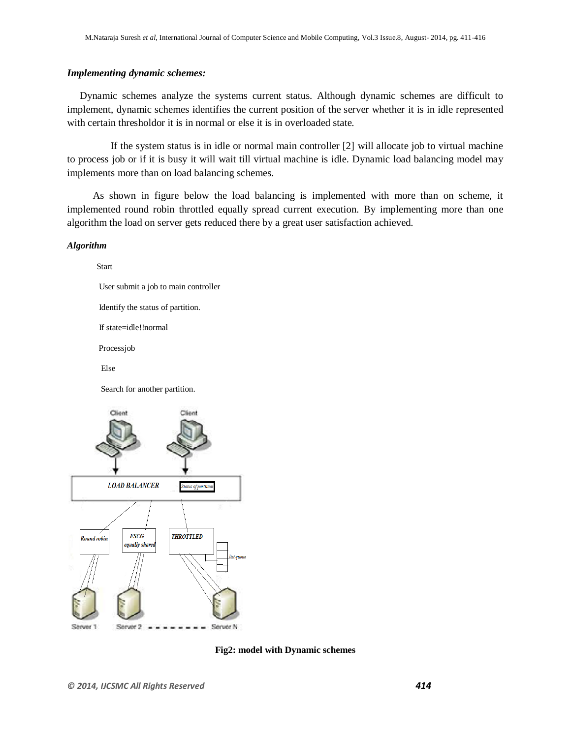### *Implementing dynamic schemes:*

 Dynamic schemes analyze the systems current status. Although dynamic schemes are difficult to implement, dynamic schemes identifies the current position of the server whether it is in idle represented with certain thresholdor it is in normal or else it is in overloaded state.

 If the system status is in idle or normal main controller [2] will allocate job to virtual machine to process job or if it is busy it will wait till virtual machine is idle. Dynamic load balancing model may implements more than on load balancing schemes.

 As shown in figure below the load balancing is implemented with more than on scheme, it implemented round robin throttled equally spread current execution. By implementing more than one algorithm the load on server gets reduced there by a great user satisfaction achieved.

### *Algorithm*

Start

User submit a job to main controller

Identify the status of partition.

If state=idle!!normal

Processjob

Else

Search for another partition.



**Fig2: model with Dynamic schemes**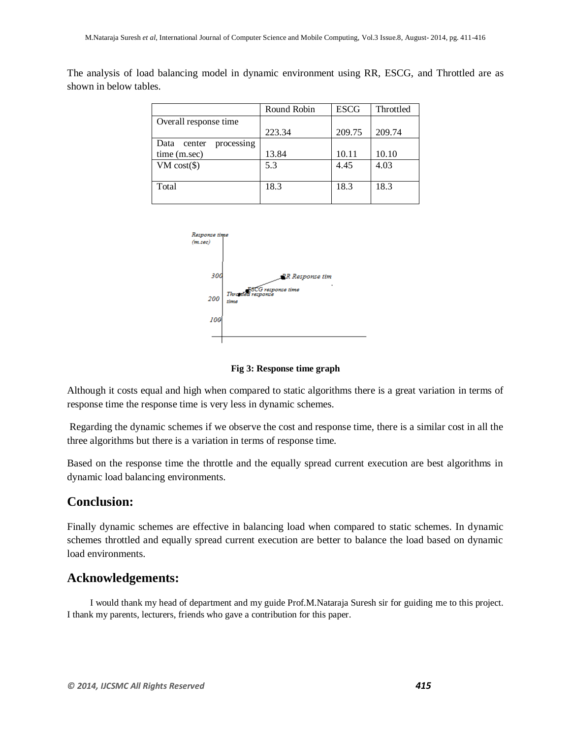The analysis of load balancing model in dynamic environment using RR, ESCG, and Throttled are as shown in below tables.

|                              | Round Robin | <b>ESCG</b> | Throttled |
|------------------------------|-------------|-------------|-----------|
| Overall response time        |             |             |           |
|                              | 223.34      | 209.75      | 209.74    |
| Data<br>center<br>processing |             |             |           |
| time (m.sec)                 | 13.84       | 10.11       | 10.10     |
| $VM cost(\$)$                | 5.3         | 4.45        | 4.03      |
|                              |             |             |           |
| Total                        | 18.3        | 18.3        | 18.3      |
|                              |             |             |           |



**Fig 3: Response time graph**

Although it costs equal and high when compared to static algorithms there is a great variation in terms of response time the response time is very less in dynamic schemes.

Regarding the dynamic schemes if we observe the cost and response time, there is a similar cost in all the three algorithms but there is a variation in terms of response time.

Based on the response time the throttle and the equally spread current execution are best algorithms in dynamic load balancing environments.

### **Conclusion:**

Finally dynamic schemes are effective in balancing load when compared to static schemes. In dynamic schemes throttled and equally spread current execution are better to balance the load based on dynamic load environments.

## **Acknowledgements:**

I would thank my head of department and my guide Prof.M.Nataraja Suresh sir for guiding me to this project. I thank my parents, lecturers, friends who gave a contribution for this paper.